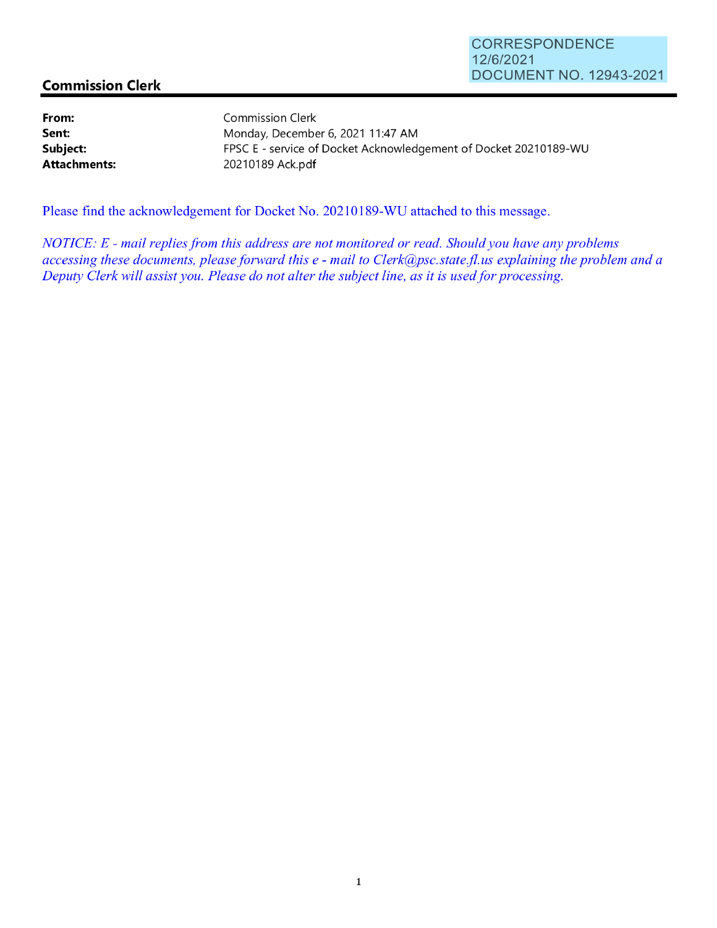## **Commission Clerk**

**From: Sent: Subject: Attachments:**  Commission Clerk 20210189 Ack.pdf

Monday, December 6, 2021 11 :47 AM FPSC E - service of Docket Acknowledgement of Docket 20210189-WU

Please find the acknowledgement for Docket No. 20210189-WU attached to this message.

*NOTICE: E* - *mail replies from this address are not monitored or read. Should you have any problems accessing these documents, please forward this e* - *mail to Clerk@psc.state.fi. us explaining the problem and a Deputy Clerk will assist you. Please do not alter the subject line, as it is used for processing.*